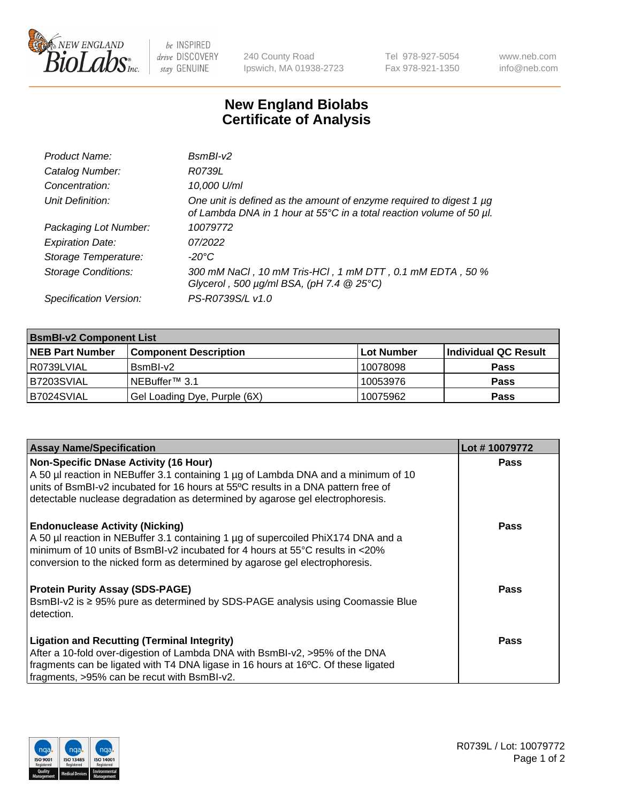

 $be$  INSPIRED drive DISCOVERY stay GENUINE

240 County Road Ipswich, MA 01938-2723 Tel 978-927-5054 Fax 978-921-1350 www.neb.com info@neb.com

## **New England Biolabs Certificate of Analysis**

| Product Name:              | BsmBI-v2                                                                                                                                    |
|----------------------------|---------------------------------------------------------------------------------------------------------------------------------------------|
| Catalog Number:            | R0739L                                                                                                                                      |
| Concentration:             | 10,000 U/ml                                                                                                                                 |
| Unit Definition:           | One unit is defined as the amount of enzyme required to digest 1 µg<br>of Lambda DNA in 1 hour at 55°C in a total reaction volume of 50 µl. |
| Packaging Lot Number:      | 10079772                                                                                                                                    |
| <b>Expiration Date:</b>    | 07/2022                                                                                                                                     |
| Storage Temperature:       | $-20^{\circ}$ C                                                                                                                             |
| <b>Storage Conditions:</b> | 300 mM NaCl, 10 mM Tris-HCl, 1 mM DTT, 0.1 mM EDTA, 50 %<br>Glycerol, 500 $\mu$ g/ml BSA, (pH 7.4 $@25°C$ )                                 |
| Specification Version:     | PS-R0739S/L v1.0                                                                                                                            |

| <b>BsmBI-v2 Component List</b> |                              |                   |                      |  |  |
|--------------------------------|------------------------------|-------------------|----------------------|--|--|
| <b>NEB Part Number</b>         | <b>Component Description</b> | <b>Lot Number</b> | Individual QC Result |  |  |
| l R0739LVIAL                   | $BsmBl-v2$                   | 10078098          | <b>Pass</b>          |  |  |
| B7203SVIAL                     | INEBuffer™ 3.1               | 10053976          | <b>Pass</b>          |  |  |
| B7024SVIAL                     | Gel Loading Dye, Purple (6X) | 10075962          | <b>Pass</b>          |  |  |

| <b>Assay Name/Specification</b>                                                      | Lot #10079772 |
|--------------------------------------------------------------------------------------|---------------|
| Non-Specific DNase Activity (16 Hour)                                                | <b>Pass</b>   |
| A 50 µl reaction in NEBuffer 3.1 containing 1 µg of Lambda DNA and a minimum of 10   |               |
| units of BsmBI-v2 incubated for 16 hours at 55°C results in a DNA pattern free of    |               |
| detectable nuclease degradation as determined by agarose gel electrophoresis.        |               |
| <b>Endonuclease Activity (Nicking)</b>                                               | <b>Pass</b>   |
| A 50 µl reaction in NEBuffer 3.1 containing 1 µg of supercoiled PhiX174 DNA and a    |               |
| $\mid$ minimum of 10 units of BsmBI-v2 incubated for 4 hours at 55°C results in <20% |               |
| conversion to the nicked form as determined by agarose gel electrophoresis.          |               |
| <b>Protein Purity Assay (SDS-PAGE)</b>                                               | <b>Pass</b>   |
| BsmBI-v2 is ≥ 95% pure as determined by SDS-PAGE analysis using Coomassie Blue       |               |
| detection.                                                                           |               |
| <b>Ligation and Recutting (Terminal Integrity)</b>                                   | Pass          |
| After a 10-fold over-digestion of Lambda DNA with BsmBI-v2, >95% of the DNA          |               |
| fragments can be ligated with T4 DNA ligase in 16 hours at 16°C. Of these ligated    |               |
| fragments, >95% can be recut with BsmBI-v2.                                          |               |